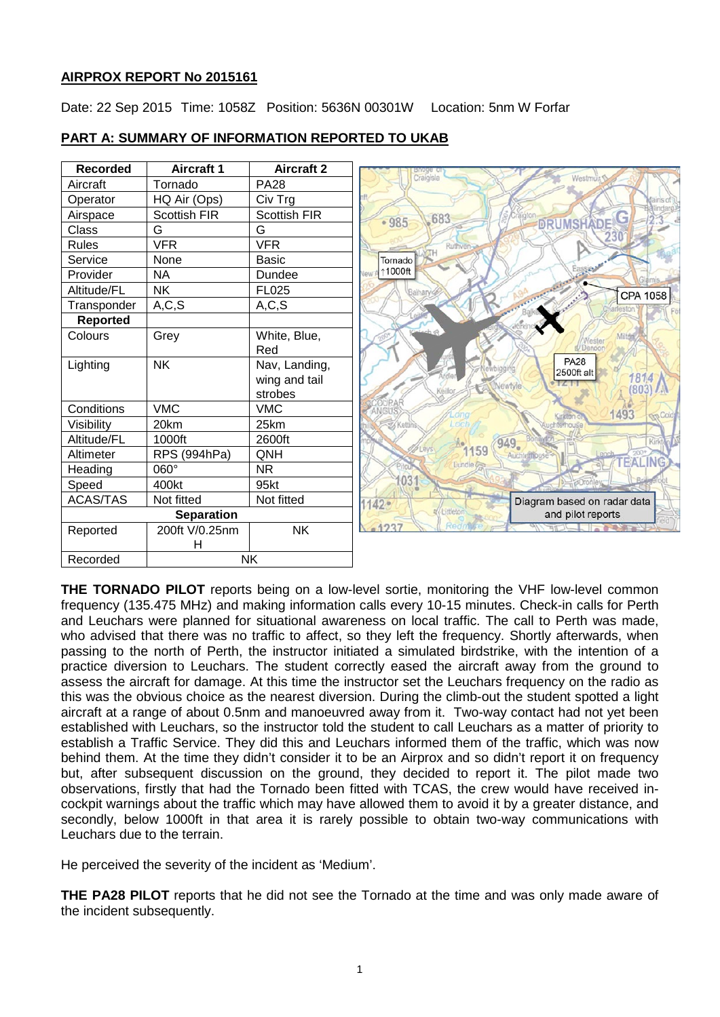## **AIRPROX REPORT No 2015161**

Date: 22 Sep 2015 Time: 1058Z Position: 5636N 00301W Location: 5nm W Forfar

| <b>Recorded</b>   | <b>Aircraft 1</b> | <b>Aircraft 2</b> | Broge o                                |
|-------------------|-------------------|-------------------|----------------------------------------|
| Aircraft          | Tornado           | <b>PA28</b>       | Westmu                                 |
| Operator          | HQ Air (Ops)      | Civ Trg           |                                        |
| Airspace          | Scottish FIR      | Scottish FIR      | 683                                    |
| Class             | G                 | G                 | <b>DRUMSHADE</b><br>$-985$             |
| <b>Rules</b>      | <b>VFR</b>        | <b>VFR</b>        | Ruthver                                |
| Service           | None              | <b>Basic</b>      | Tornado                                |
| Provider          | <b>NA</b>         | Dundee            | 11000ft<br>lew                         |
| Altitude/FL       | <b>NK</b>         | FL025             | CPA 1058                               |
| Transponder       | A, C, S           | A, C, S           |                                        |
| Reported          |                   |                   |                                        |
| Colours           | Grey              | White, Blue,      |                                        |
|                   |                   | Red               |                                        |
| Lighting          | <b>NK</b>         | Nav, Landing,     | <b>PA28</b><br>2500ft alt              |
|                   |                   | wing and tail     | 1814<br>Vewtyle                        |
|                   |                   | strobes           | 80                                     |
| Conditions        | <b>VMC</b>        | <b>VMC</b>        | 1493<br><b>The Colds</b><br>Sirkton    |
| Visibility        | 20km              | 25km              |                                        |
| Altitude/FL       | 1000ft            | 2600ft            | 949.                                   |
| Altimeter         | RPS (994hPa)      | QNH               | 1159<br>Auchterhouse<br><b>TEALING</b> |
| Heading           | 060°              | <b>NR</b>         | Lundie &                               |
| Speed             | 400kt             | 95kt              | 031                                    |
| <b>ACAS/TAS</b>   | Not fitted        | Not fitted        | Diagram based on radar data<br>11429   |
| <b>Separation</b> |                   |                   | Littleton<br>and pilot reports         |
| Reported          | 200ft V/0.25nm    | <b>NK</b>         | 1227                                   |
|                   | Н                 |                   |                                        |
| Recorded          | NΚ                |                   |                                        |

# **PART A: SUMMARY OF INFORMATION REPORTED TO UKAB**

**THE TORNADO PILOT** reports being on a low-level sortie, monitoring the VHF low-level common frequency (135.475 MHz) and making information calls every 10-15 minutes. Check-in calls for Perth and Leuchars were planned for situational awareness on local traffic. The call to Perth was made, who advised that there was no traffic to affect, so they left the frequency. Shortly afterwards, when passing to the north of Perth, the instructor initiated a simulated birdstrike, with the intention of a practice diversion to Leuchars. The student correctly eased the aircraft away from the ground to assess the aircraft for damage. At this time the instructor set the Leuchars frequency on the radio as this was the obvious choice as the nearest diversion. During the climb-out the student spotted a light aircraft at a range of about 0.5nm and manoeuvred away from it. Two-way contact had not yet been established with Leuchars, so the instructor told the student to call Leuchars as a matter of priority to establish a Traffic Service. They did this and Leuchars informed them of the traffic, which was now behind them. At the time they didn't consider it to be an Airprox and so didn't report it on frequency but, after subsequent discussion on the ground, they decided to report it. The pilot made two observations, firstly that had the Tornado been fitted with TCAS, the crew would have received incockpit warnings about the traffic which may have allowed them to avoid it by a greater distance, and secondly, below 1000ft in that area it is rarely possible to obtain two-way communications with Leuchars due to the terrain.

He perceived the severity of the incident as 'Medium'.

**THE PA28 PILOT** reports that he did not see the Tornado at the time and was only made aware of the incident subsequently.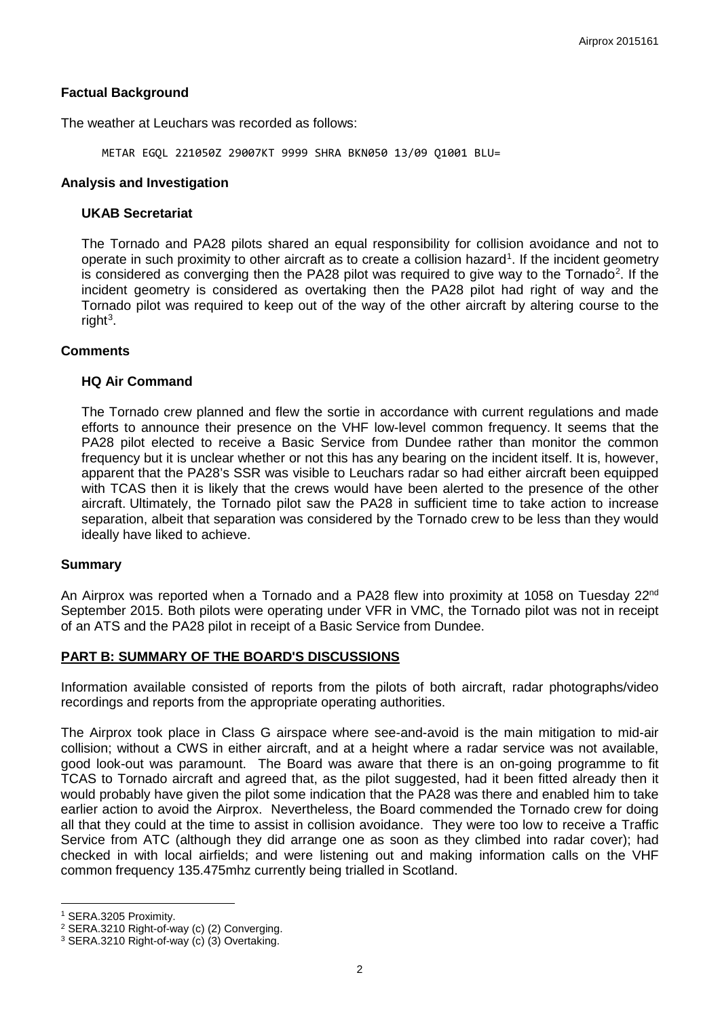## **Factual Background**

The weather at Leuchars was recorded as follows:

METAR EGQL 221050Z 29007KT 9999 SHRA BKN050 13/09 Q1001 BLU=

#### **Analysis and Investigation**

### **UKAB Secretariat**

The Tornado and PA28 pilots shared an equal responsibility for collision avoidance and not to operate in such proximity to other aircraft as to create a collision hazard<sup>[1](#page-1-0)</sup>. If the incident geometry is considered as converging then the PA[2](#page-1-1)8 pilot was required to give way to the Tornado<sup>2</sup>. If the incident geometry is considered as overtaking then the PA28 pilot had right of way and the Tornado pilot was required to keep out of the way of the other aircraft by altering course to the right<sup>[3](#page-1-2)</sup>.

### **Comments**

### **HQ Air Command**

The Tornado crew planned and flew the sortie in accordance with current regulations and made efforts to announce their presence on the VHF low-level common frequency. It seems that the PA28 pilot elected to receive a Basic Service from Dundee rather than monitor the common frequency but it is unclear whether or not this has any bearing on the incident itself. It is, however, apparent that the PA28's SSR was visible to Leuchars radar so had either aircraft been equipped with TCAS then it is likely that the crews would have been alerted to the presence of the other aircraft. Ultimately, the Tornado pilot saw the PA28 in sufficient time to take action to increase separation, albeit that separation was considered by the Tornado crew to be less than they would ideally have liked to achieve.

### **Summary**

An Airprox was reported when a Tornado and a PA28 flew into proximity at 1058 on Tuesday 22<sup>nd</sup> September 2015. Both pilots were operating under VFR in VMC, the Tornado pilot was not in receipt of an ATS and the PA28 pilot in receipt of a Basic Service from Dundee.

### **PART B: SUMMARY OF THE BOARD'S DISCUSSIONS**

Information available consisted of reports from the pilots of both aircraft, radar photographs/video recordings and reports from the appropriate operating authorities.

The Airprox took place in Class G airspace where see-and-avoid is the main mitigation to mid-air collision; without a CWS in either aircraft, and at a height where a radar service was not available, good look-out was paramount. The Board was aware that there is an on-going programme to fit TCAS to Tornado aircraft and agreed that, as the pilot suggested, had it been fitted already then it would probably have given the pilot some indication that the PA28 was there and enabled him to take earlier action to avoid the Airprox. Nevertheless, the Board commended the Tornado crew for doing all that they could at the time to assist in collision avoidance. They were too low to receive a Traffic Service from ATC (although they did arrange one as soon as they climbed into radar cover); had checked in with local airfields; and were listening out and making information calls on the VHF common frequency 135.475mhz currently being trialled in Scotland.

 $\overline{\phantom{a}}$ 

<span id="page-1-0"></span><sup>1</sup> SERA.3205 Proximity.

<span id="page-1-1"></span><sup>2</sup> SERA.3210 Right-of-way (c) (2) Converging.

<span id="page-1-2"></span><sup>3</sup> SERA.3210 Right-of-way (c) (3) Overtaking.